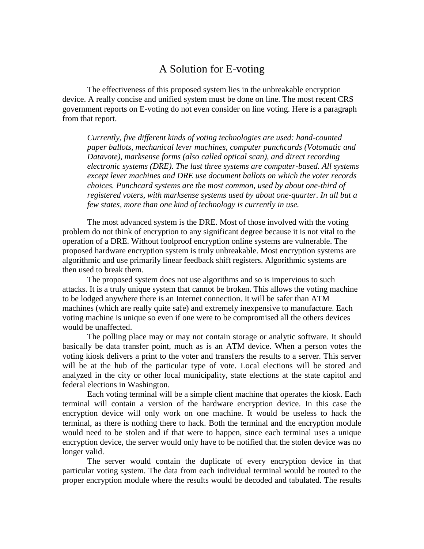## A Solution for E-voting

The effectiveness of this proposed system lies in the unbreakable encryption device. A really concise and unified system must be done on line. The most recent CRS government reports on E-voting do not even consider on line voting. Here is a paragraph from that report.

*Currently, five different kinds of voting technologies are used: hand-counted paper ballots, mechanical lever machines, computer punchcards (Votomatic and Datavote), marksense forms (also called optical scan), and direct recording electronic systems (DRE). The last three systems are computer-based. All systems except lever machines and DRE use document ballots on which the voter records choices. Punchcard systems are the most common, used by about one-third of registered voters, with marksense systems used by about one-quarter. In all but a few states, more than one kind of technology is currently in use.*

The most advanced system is the DRE. Most of those involved with the voting problem do not think of encryption to any significant degree because it is not vital to the operation of a DRE. Without foolproof encryption online systems are vulnerable. The proposed hardware encryption system is truly unbreakable. Most encryption systems are algorithmic and use primarily linear feedback shift registers. Algorithmic systems are then used to break them.

The proposed system does not use algorithms and so is impervious to such attacks. It is a truly unique system that cannot be broken. This allows the voting machine to be lodged anywhere there is an Internet connection. It will be safer than ATM machines (which are really quite safe) and extremely inexpensive to manufacture. Each voting machine is unique so even if one were to be compromised all the others devices would be unaffected.

The polling place may or may not contain storage or analytic software. It should basically be data transfer point, much as is an ATM device. When a person votes the voting kiosk delivers a print to the voter and transfers the results to a server. This server will be at the hub of the particular type of vote. Local elections will be stored and analyzed in the city or other local municipality, state elections at the state capitol and federal elections in Washington.

Each voting terminal will be a simple client machine that operates the kiosk. Each terminal will contain a version of the hardware encryption device. In this case the encryption device will only work on one machine. It would be useless to hack the terminal, as there is nothing there to hack. Both the terminal and the encryption module would need to be stolen and if that were to happen, since each terminal uses a unique encryption device, the server would only have to be notified that the stolen device was no longer valid.

The server would contain the duplicate of every encryption device in that particular voting system. The data from each individual terminal would be routed to the proper encryption module where the results would be decoded and tabulated. The results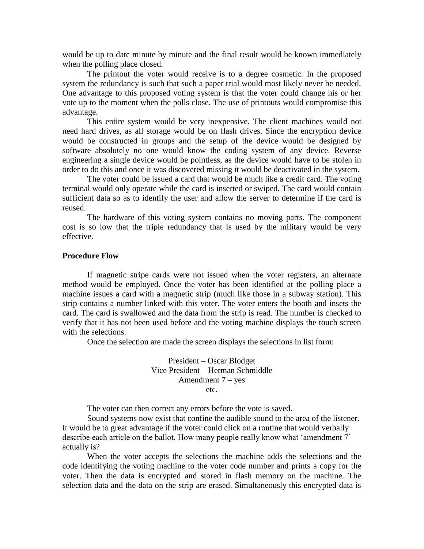would be up to date minute by minute and the final result would be known immediately when the polling place closed.

The printout the voter would receive is to a degree cosmetic. In the proposed system the redundancy is such that such a paper trial would most likely never be needed. One advantage to this proposed voting system is that the voter could change his or her vote up to the moment when the polls close. The use of printouts would compromise this advantage.

This entire system would be very inexpensive. The client machines would not need hard drives, as all storage would be on flash drives. Since the encryption device would be constructed in groups and the setup of the device would be designed by software absolutely no one would know the coding system of any device. Reverse engineering a single device would be pointless, as the device would have to be stolen in order to do this and once it was discovered missing it would be deactivated in the system.

The voter could be issued a card that would be much like a credit card. The voting terminal would only operate while the card is inserted or swiped. The card would contain sufficient data so as to identify the user and allow the server to determine if the card is reused.

The hardware of this voting system contains no moving parts. The component cost is so low that the triple redundancy that is used by the military would be very effective.

## **Procedure Flow**

If magnetic stripe cards were not issued when the voter registers, an alternate method would be employed. Once the voter has been identified at the polling place a machine issues a card with a magnetic strip (much like those in a subway station). This strip contains a number linked with this voter. The voter enters the booth and insets the card. The card is swallowed and the data from the strip is read. The number is checked to verify that it has not been used before and the voting machine displays the touch screen with the selections.

Once the selection are made the screen displays the selections in list form:

President – Oscar Blodget Vice President – Herman Schmiddle Amendment  $7 - yes$ etc.

The voter can then correct any errors before the vote is saved.

Sound systems now exist that confine the audible sound to the area of the listener. It would be to great advantage if the voter could click on a routine that would verbally describe each article on the ballot. How many people really know what 'amendment 7' actually is?

When the voter accepts the selections the machine adds the selections and the code identifying the voting machine to the voter code number and prints a copy for the voter. Then the data is encrypted and stored in flash memory on the machine. The selection data and the data on the strip are erased. Simultaneously this encrypted data is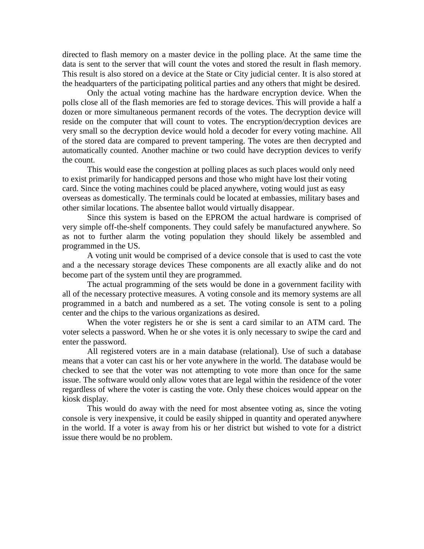directed to flash memory on a master device in the polling place. At the same time the data is sent to the server that will count the votes and stored the result in flash memory. This result is also stored on a device at the State or City judicial center. It is also stored at the headquarters of the participating political parties and any others that might be desired.

Only the actual voting machine has the hardware encryption device. When the polls close all of the flash memories are fed to storage devices. This will provide a half a dozen or more simultaneous permanent records of the votes. The decryption device will reside on the computer that will count to votes. The encryption/decryption devices are very small so the decryption device would hold a decoder for every voting machine. All of the stored data are compared to prevent tampering. The votes are then decrypted and automatically counted. Another machine or two could have decryption devices to verify the count.

This would ease the congestion at polling places as such places would only need to exist primarily for handicapped persons and those who might have lost their voting card. Since the voting machines could be placed anywhere, voting would just as easy overseas as domestically. The terminals could be located at embassies, military bases and other similar locations. The absentee ballot would virtually disappear.

Since this system is based on the EPROM the actual hardware is comprised of very simple off-the-shelf components. They could safely be manufactured anywhere. So as not to further alarm the voting population they should likely be assembled and programmed in the US.

A voting unit would be comprised of a device console that is used to cast the vote and a the necessary storage devices These components are all exactly alike and do not become part of the system until they are programmed.

The actual programming of the sets would be done in a government facility with all of the necessary protective measures. A voting console and its memory systems are all programmed in a batch and numbered as a set. The voting console is sent to a poling center and the chips to the various organizations as desired.

When the voter registers he or she is sent a card similar to an ATM card. The voter selects a password. When he or she votes it is only necessary to swipe the card and enter the password.

All registered voters are in a main database (relational). Use of such a database means that a voter can cast his or her vote anywhere in the world. The database would be checked to see that the voter was not attempting to vote more than once for the same issue. The software would only allow votes that are legal within the residence of the voter regardless of where the voter is casting the vote. Only these choices would appear on the kiosk display.

This would do away with the need for most absentee voting as, since the voting console is very inexpensive, it could be easily shipped in quantity and operated anywhere in the world. If a voter is away from his or her district but wished to vote for a district issue there would be no problem.